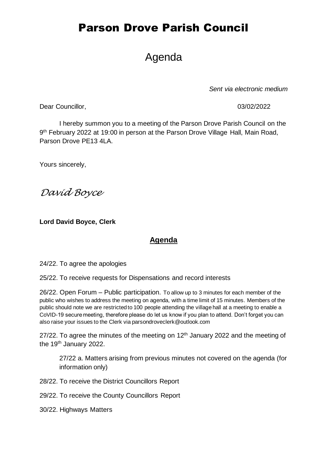# Parson Drove Parish Council

## Agenda

*Sent via electronic medium*

Dear Councillor, 03/02/2022

I hereby summon you to a meeting of the Parson Drove Parish Council on the 9<sup>th</sup> February 2022 at 19:00 in person at the Parson Drove Village Hall, Main Road, Parson Drove PE13 4LA.

Yours sincerely,

*David Boyce*

**Lord David Boyce, Clerk**

### **Agenda**

24/22. To agree the apologies

25/22. To receive requests for Dispensations and record interests

26/22. Open Forum – Public participation. To allow up to 3 minutes for each member of the public who wishes to address the meeting on agenda, with a time limit of 15 minutes. Members of the public should note we are restricted to 100 people attending the village hall at a meeting to enable a CoVID-19 secure meeting, therefore please do let us know if you plan to attend. Don't forget you can also raise your issues to the Clerk via parsondroveclerk@outlook.com

27/22. To agree the minutes of the meeting on  $12<sup>th</sup>$  January 2022 and the meeting of the 19<sup>th</sup> January 2022.

27/22 a. Matters arising from previous minutes not covered on the agenda (for information only)

28/22. To receive the District Councillors Report

29/22. To receive the County Councillors Report

30/22. Highways Matters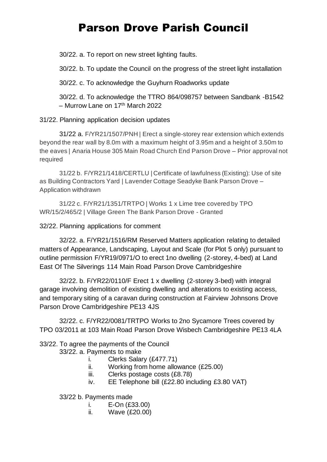# Parson Drove Parish Council

30/22. a. To report on new street lighting faults.

30/22. b. To update the Council on the progress of the street light installation

30/22. c. To acknowledge the Guyhurn Roadworks update

30/22. d. To acknowledge the TTRO 864/098757 between Sandbank -B1542 – Murrow Lane on 17<sup>th</sup> March 2022

#### 31/22. Planning application decision updates

31/22 a. F/YR21/1507/PNH | Erect a single-storey rear extension which extends beyond the rear wall by 8.0m with a maximum height of 3.95m and a height of 3.50m to the eaves | Anaria House 305 Main Road Church End Parson Drove – Prior approval not required

31/22 b. F/YR21/1418/CERTLU | Certificate of lawfulness (Existing): Use of site as Building Contractors Yard | Lavender Cottage Seadyke Bank Parson Drove – Application withdrawn

31/22 c. F/YR21/1351/TRTPO | Works 1 x Lime tree covered by TPO WR/15/2/465/2 | Village Green The Bank Parson Drove - Granted

#### 32/22. Planning applications for comment

32/22. a. F/YR21/1516/RM Reserved Matters application relating to detailed matters of Appearance, Landscaping, Layout and Scale (for Plot 5 only) pursuant to outline permission F/YR19/0971/O to erect 1no dwelling (2-storey, 4-bed) at Land East Of The Silverings 114 Main Road Parson Drove Cambridgeshire

32/22. b. F/YR22/0110/F Erect 1 x dwelling (2-storey 3-bed) with integral garage involving demolition of existing dwelling and alterations to existing access, and temporary siting of a caravan during construction at Fairview Johnsons Drove Parson Drove Cambridgeshire PE13 4JS

32/22. c. F/YR22/0081/TRTPO Works to 2no Sycamore Trees covered by TPO 03/2011 at 103 Main Road Parson Drove Wisbech Cambridgeshire PE13 4LA

### 33/22. To agree the payments of the Council

#### 33/22. a. Payments to make

- i. Clerks Salary (£477.71)
- ii. Working from home allowance (£25.00)
- iii. Clerks postage costs (£8.78)
- iv. EE Telephone bill (£22.80 including £3.80 VAT)

33/22 b. Payments made

- i. E-On (£33.00)
- ii. Wave (£20.00)